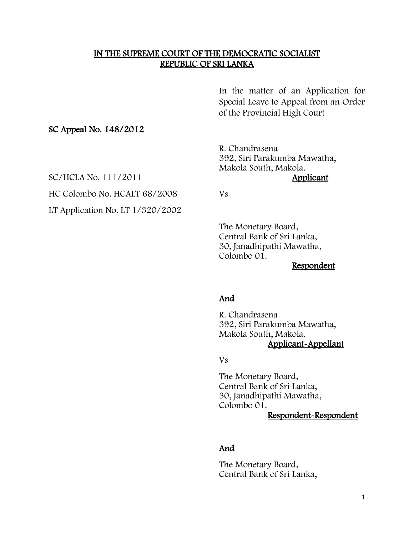### IN THE SUPREME COURT OF THE DEMOCRATIC SOCIALIST REPUBLIC OF SRI LANKA

In the matter of an Application for Special Leave to Appeal from an Order of the Provincial High Court

#### SC Appeal No. 148/2012

R. Chandrasena 392, Siri Parakumba Mawatha, Makola South, Makola.<br>Applicant

SC/HCLA No. 111/2011

HC Colombo No. HCALT 68/2008 Vs

LT Application No. LT 1/320/2002

The Monetary Board, Central Bank of Sri Lanka, 30, Janadhipathi Mawatha, Colombo 01.

Respondent

### And

R. Chandrasena 392, Siri Parakumba Mawatha, Makola South, Makola. Applicant-Appellant

Vs

The Monetary Board, Central Bank of Sri Lanka, 30, Janadhipathi Mawatha, Colombo 01.

## Respondent-Respondent

#### And

The Monetary Board, Central Bank of Sri Lanka,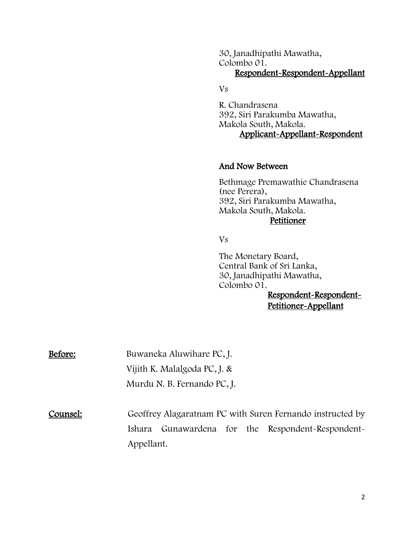30, Janadhipathi Mawatha, Colombo 01. Respondent-Respondent-Appellant

Vs

R. Chandrasena 392, Siri Parakumba Mawatha, Makola South, Makola. Applicant-Appellant-Respondent

#### And Now Between

Bethmage Premawathie Chandrasena (nee Perera), 392, Siri Parakumba Mawatha, Makola South, Makola. **Petitioner** 

Vs

The Monetary Board, Central Bank of Sri Lanka, 30, Janadhipathi Mawatha, Colombo 01.

Respondent-Respondent-Petitioner-Appellant

Before: Buwaneka Aluwihare PC, J. Vijith K. Malalgoda PC, J. & Murdu N. B. Fernando PC, J.

Counsel: Geoffrey Alagaratnam PC with Suren Fernando instructed by Ishara Gunawardena for the Respondent-Respondent-Appellant.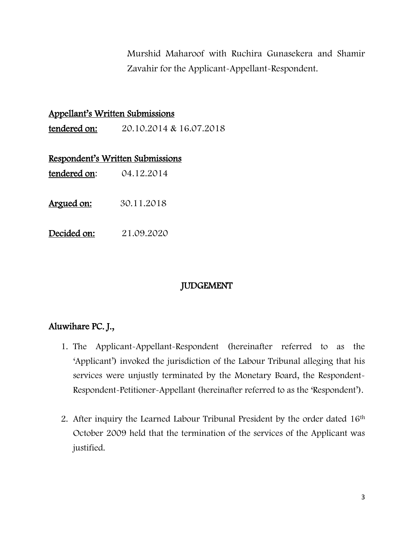Murshid Maharoof with Ruchira Gunasekera and Shamir Zavahir for the Applicant-Appellant-Respondent.

| <u> Appellant's Written Submissions</u> |                                      |
|-----------------------------------------|--------------------------------------|
|                                         | tendered on: 20.10.2014 & 16.07.2018 |
|                                         | Respondent's Written Submissions     |
|                                         | tendered on: 04.12.2014              |
| <u> Argued on:</u>                      | 30.11.2018                           |
| Decided on:                             | 21.09.2020                           |

# JUDGEMENT

# Aluwihare PC. J.,

- 1. The Applicant-Appellant-Respondent (hereinafter referred to as the 'Applicant') invoked the jurisdiction of the Labour Tribunal alleging that his services were unjustly terminated by the Monetary Board, the Respondent-Respondent-Petitioner-Appellant (hereinafter referred to as the 'Respondent').
- 2. After inquiry the Learned Labour Tribunal President by the order dated 16<sup>th</sup> October 2009 held that the termination of the services of the Applicant was justified.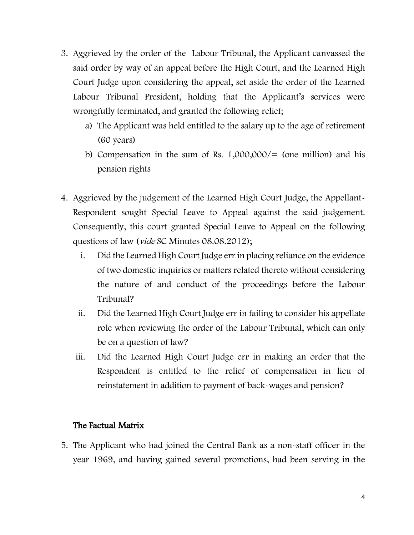- 3. Aggrieved by the order of the Labour Tribunal, the Applicant canvassed the said order by way of an appeal before the High Court, and the Learned High Court Judge upon considering the appeal, set aside the order of the Learned Labour Tribunal President, holding that the Applicant's services were wrongfully terminated, and granted the following relief;
	- a) The Applicant was held entitled to the salary up to the age of retirement (60 years)
	- b) Compensation in the sum of Rs.  $1,000,000/$  (one million) and his pension rights
- 4. Aggrieved by the judgement of the Learned High Court Judge, the Appellant-Respondent sought Special Leave to Appeal against the said judgement. Consequently, this court granted Special Leave to Appeal on the following questions of law (*vide* SC Minutes 08.08.2012);
	- i. Did the Learned High Court Judge err in placing reliance on the evidence of two domestic inquiries or matters related thereto without considering the nature of and conduct of the proceedings before the Labour Tribunal?
	- ii. Did the Learned High Court Judge err in failing to consider his appellate role when reviewing the order of the Labour Tribunal, which can only be on a question of law?
	- iii. Did the Learned High Court Judge err in making an order that the Respondent is entitled to the relief of compensation in lieu of reinstatement in addition to payment of back-wages and pension?

## The Factual Matrix

5. The Applicant who had joined the Central Bank as a non-staff officer in the year 1969, and having gained several promotions, had been serving in the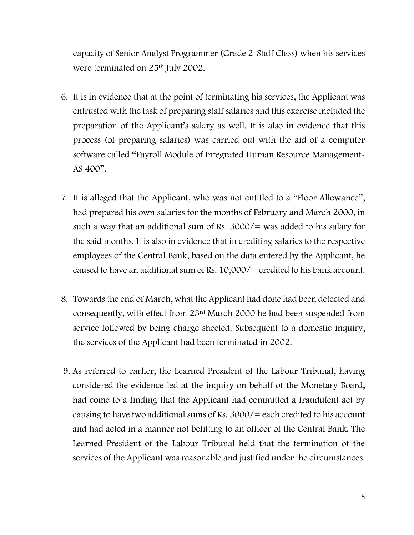capacity of Senior Analyst Programmer (Grade 2-Staff Class) when his services were terminated on 25<sup>th</sup> July 2002.

- 6. It is in evidence that at the point of terminating his services, the Applicant was entrusted with the task of preparing staff salaries and this exercise included the preparation of the Applicant's salary as well. It is also in evidence that this process (of preparing salaries) was carried out with the aid of a computer software called "Payroll Module of Integrated Human Resource Management-AS 400".
- 7. It is alleged that the Applicant, who was not entitled to a "Floor Allowance", had prepared his own salaries for the months of February and March 2000, in such a way that an additional sum of Rs.  $5000/=\text{was added to his salary for}$ the said months. It is also in evidence that in crediting salaries to the respective employees of the Central Bank, based on the data entered by the Applicant, he caused to have an additional sum of Rs. 10,000/= credited to his bank account.
- 8. Towards the end of March, what the Applicant had done had been detected and consequently, with effect from 23rd March 2000 he had been suspended from service followed by being charge sheeted. Subsequent to a domestic inquiry, the services of the Applicant had been terminated in 2002.
- 9. As referred to earlier, the Learned President of the Labour Tribunal, having considered the evidence led at the inquiry on behalf of the Monetary Board, had come to a finding that the Applicant had committed a fraudulent act by causing to have two additional sums of Rs.  $5000/$  = each credited to his account and had acted in a manner not befitting to an officer of the Central Bank. The Learned President of the Labour Tribunal held that the termination of the services of the Applicant was reasonable and justified under the circumstances.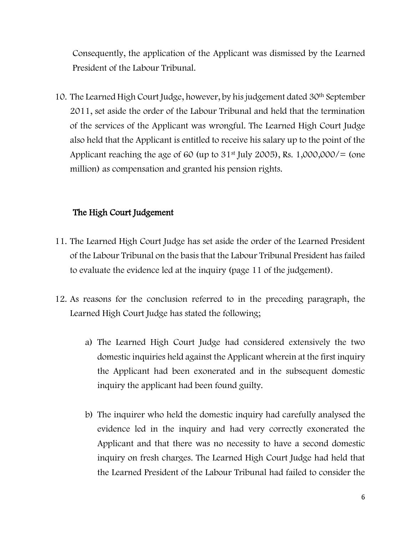Consequently, the application of the Applicant was dismissed by the Learned President of the Labour Tribunal.

10. The Learned High Court Judge, however, by his judgement dated 30th September 2011, set aside the order of the Labour Tribunal and held that the termination of the services of the Applicant was wrongful. The Learned High Court Judge also held that the Applicant is entitled to receive his salary up to the point of the Applicant reaching the age of 60 (up to  $31<sup>st</sup>$  July 2005), Rs. 1,000,000/= (one million) as compensation and granted his pension rights.

## The High Court Judgement

- 11. The Learned High Court Judge has set aside the order of the Learned President of the Labour Tribunal on the basis that the Labour Tribunal President has failed to evaluate the evidence led at the inquiry (page 11 of the judgement).
- 12. As reasons for the conclusion referred to in the preceding paragraph, the Learned High Court Judge has stated the following;
	- a) The Learned High Court Judge had considered extensively the two domestic inquiries held against the Applicant wherein at the first inquiry the Applicant had been exonerated and in the subsequent domestic inquiry the applicant had been found guilty.
	- b) The inquirer who held the domestic inquiry had carefully analysed the evidence led in the inquiry and had very correctly exonerated the Applicant and that there was no necessity to have a second domestic inquiry on fresh charges. The Learned High Court Judge had held that the Learned President of the Labour Tribunal had failed to consider the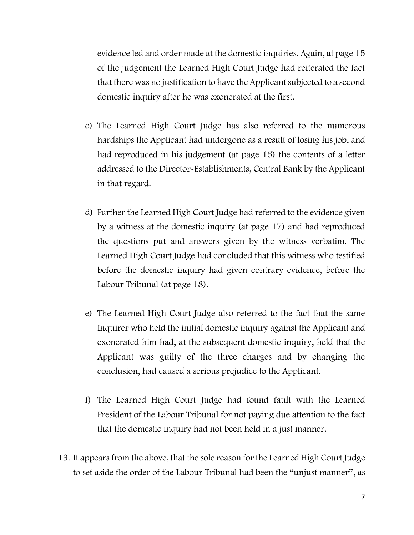evidence led and order made at the domestic inquiries. Again, at page 15 of the judgement the Learned High Court Judge had reiterated the fact that there was no justification to have the Applicant subjected to a second domestic inquiry after he was exonerated at the first.

- c) The Learned High Court Judge has also referred to the numerous hardships the Applicant had undergone as a result of losing his job, and had reproduced in his judgement (at page 15) the contents of a letter addressed to the Director-Establishments, Central Bank by the Applicant in that regard.
- d) Further the Learned High Court Judge had referred to the evidence given by a witness at the domestic inquiry (at page 17) and had reproduced the questions put and answers given by the witness verbatim. The Learned High Court Judge had concluded that this witness who testified before the domestic inquiry had given contrary evidence, before the Labour Tribunal (at page 18).
- e) The Learned High Court Judge also referred to the fact that the same Inquirer who held the initial domestic inquiry against the Applicant and exonerated him had, at the subsequent domestic inquiry, held that the Applicant was guilty of the three charges and by changing the conclusion, had caused a serious prejudice to the Applicant.
- f) The Learned High Court Judge had found fault with the Learned President of the Labour Tribunal for not paying due attention to the fact that the domestic inquiry had not been held in a just manner.
- 13. It appears from the above, that the sole reason for the Learned High Court Judge to set aside the order of the Labour Tribunal had been the "unjust manner", as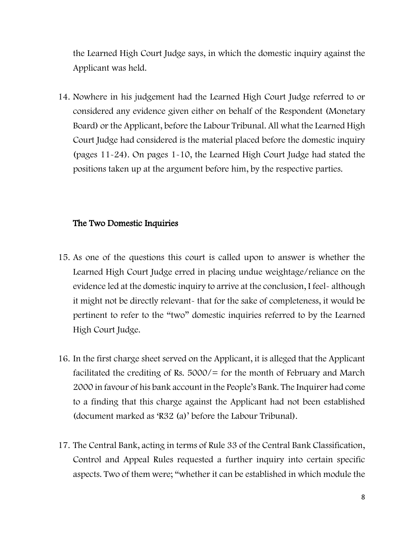the Learned High Court Judge says, in which the domestic inquiry against the Applicant was held.

14. Nowhere in his judgement had the Learned High Court Judge referred to or considered any evidence given either on behalf of the Respondent (Monetary Board) or the Applicant, before the Labour Tribunal. All what the Learned High Court Judge had considered is the material placed before the domestic inquiry (pages 11-24). On pages 1-10, the Learned High Court Judge had stated the positions taken up at the argument before him, by the respective parties.

### The Two Domestic Inquiries

- 15. As one of the questions this court is called upon to answer is whether the Learned High Court Judge erred in placing undue weightage/reliance on the evidence led at the domestic inquiry to arrive at the conclusion, I feel- although it might not be directly relevant- that for the sake of completeness, it would be pertinent to refer to the "two" domestic inquiries referred to by the Learned High Court Judge.
- 16. In the first charge sheet served on the Applicant, it is alleged that the Applicant facilitated the crediting of Rs.  $5000/5$  for the month of February and March 2000 in favour of his bank account in the People's Bank. The Inquirer had come to a finding that this charge against the Applicant had not been established (document marked as 'R32 (a)' before the Labour Tribunal).
- 17. The Central Bank, acting in terms of Rule 33 of the Central Bank Classification, Control and Appeal Rules requested a further inquiry into certain specific aspects. Two of them were; "whether it can be established in which module the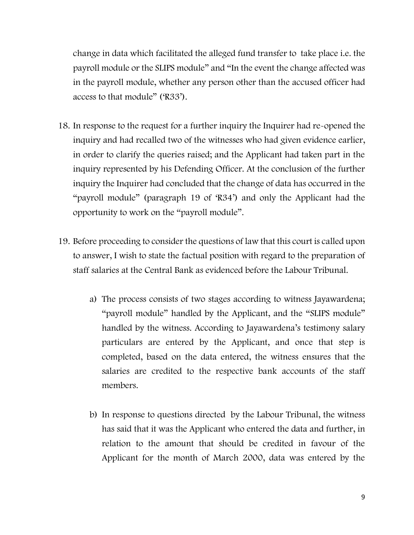change in data which facilitated the alleged fund transfer to take place i.e. the payroll module or the SLIPS module" and "In the event the change affected was in the payroll module, whether any person other than the accused officer had access to that module" ('R33').

- 18. In response to the request for a further inquiry the Inquirer had re-opened the inquiry and had recalled two of the witnesses who had given evidence earlier, in order to clarify the queries raised; and the Applicant had taken part in the inquiry represented by his Defending Officer. At the conclusion of the further inquiry the Inquirer had concluded that the change of data has occurred in the "payroll module" (paragraph 19 of 'R34') and only the Applicant had the opportunity to work on the "payroll module".
- 19. Before proceeding to consider the questions of law that this court is called upon to answer, I wish to state the factual position with regard to the preparation of staff salaries at the Central Bank as evidenced before the Labour Tribunal.
	- a) The process consists of two stages according to witness Jayawardena; "payroll module" handled by the Applicant, and the "SLIPS module" handled by the witness. According to Jayawardena's testimony salary particulars are entered by the Applicant, and once that step is completed, based on the data entered, the witness ensures that the salaries are credited to the respective bank accounts of the staff members.
	- b) In response to questions directed by the Labour Tribunal, the witness has said that it was the Applicant who entered the data and further, in relation to the amount that should be credited in favour of the Applicant for the month of March 2000, data was entered by the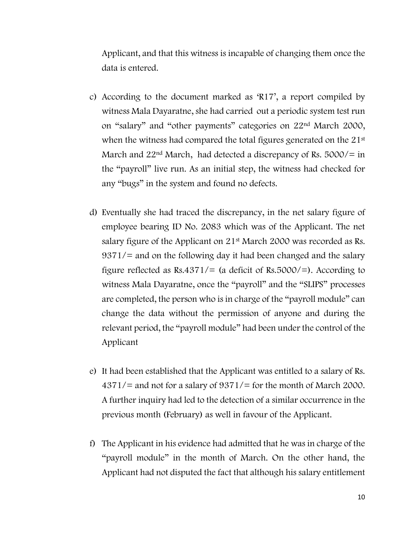Applicant, and that this witness is incapable of changing them once the data is entered.

- c) According to the document marked as 'R17', a report compiled by witness Mala Dayaratne, she had carried out a periodic system test run on "salary" and "other payments" categories on 22nd March 2000, when the witness had compared the total figures generated on the 21<sup>st</sup> March and  $22<sup>nd</sup>$  March, had detected a discrepancy of Rs. 5000/= in the "payroll" live run. As an initial step, the witness had checked for any "bugs" in the system and found no defects.
- d) Eventually she had traced the discrepancy, in the net salary figure of employee bearing ID No. 2083 which was of the Applicant. The net salary figure of the Applicant on 21<sup>st</sup> March 2000 was recorded as Rs. 9371/= and on the following day it had been changed and the salary figure reflected as  $Rs.4371/=(a$  deficit of  $Rs.5000/=$ ). According to witness Mala Dayaratne, once the "payroll" and the "SLIPS" processes are completed, the person who is in charge of the "payroll module" can change the data without the permission of anyone and during the relevant period, the "payroll module" had been under the control of the Applicant
- e) It had been established that the Applicant was entitled to a salary of Rs.  $4371/$  and not for a salary of  $9371/$  for the month of March 2000. A further inquiry had led to the detection of a similar occurrence in the previous month (February) as well in favour of the Applicant.
- f) The Applicant in his evidence had admitted that he was in charge of the "payroll module" in the month of March. On the other hand, the Applicant had not disputed the fact that although his salary entitlement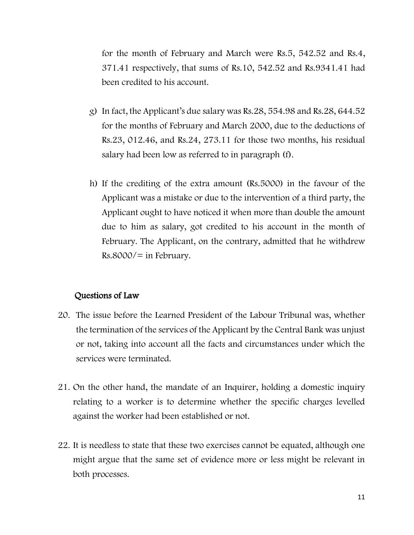for the month of February and March were Rs.5, 542.52 and Rs.4, 371.41 respectively, that sums of Rs.10, 542.52 and Rs.9341.41 had been credited to his account.

- g) In fact, the Applicant's due salary was Rs.28, 554.98 and Rs.28, 644.52 for the months of February and March 2000, due to the deductions of Rs.23, 012.46, and Rs.24, 273.11 for those two months, his residual salary had been low as referred to in paragraph (f).
- h) If the crediting of the extra amount (Rs.5000) in the favour of the Applicant was a mistake or due to the intervention of a third party, the Applicant ought to have noticed it when more than double the amount due to him as salary, got credited to his account in the month of February. The Applicant, on the contrary, admitted that he withdrew  $Rs.8000/=$  in February.

## Questions of Law

- 20. The issue before the Learned President of the Labour Tribunal was, whether the termination of the services of the Applicant by the Central Bank was unjust or not, taking into account all the facts and circumstances under which the services were terminated.
- 21. On the other hand, the mandate of an Inquirer, holding a domestic inquiry relating to a worker is to determine whether the specific charges levelled against the worker had been established or not.
- 22. It is needless to state that these two exercises cannot be equated, although one might argue that the same set of evidence more or less might be relevant in both processes.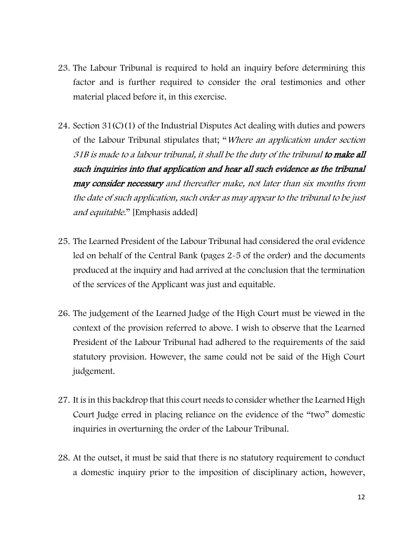- 23. The Labour Tribunal is required to hold an inquiry before determining this factor and is further required to consider the oral testimonies and other material placed before it, in this exercise.
- 24. Section 31(C)(1) of the Industrial Disputes Act dealing with duties and powers of the Labour Tribunal stipulates that; "Where an application under section 31B is made to a labour tribunal, it shall be the duty of the tribunal to make all such inquiries into that application and hear all such evidence as the tribunal may consider necessary and thereafter make, not later than six months from the date of such application, such order as may appear to the tribunal to be just and equitable." [Emphasis added]
- 25. The Learned President of the Labour Tribunal had considered the oral evidence led on behalf of the Central Bank (pages 2-5 of the order) and the documents produced at the inquiry and had arrived at the conclusion that the termination of the services of the Applicant was just and equitable.
- 26. The judgement of the Learned Judge of the High Court must be viewed in the context of the provision referred to above. I wish to observe that the Learned President of the Labour Tribunal had adhered to the requirements of the said statutory provision. However, the same could not be said of the High Court judgement.
- 27. It is in this backdrop that this court needs to consider whether the Learned High Court Judge erred in placing reliance on the evidence of the "two" domestic inquiries in overturning the order of the Labour Tribunal.
- 28. At the outset, it must be said that there is no statutory requirement to conduct a domestic inquiry prior to the imposition of disciplinary action, however,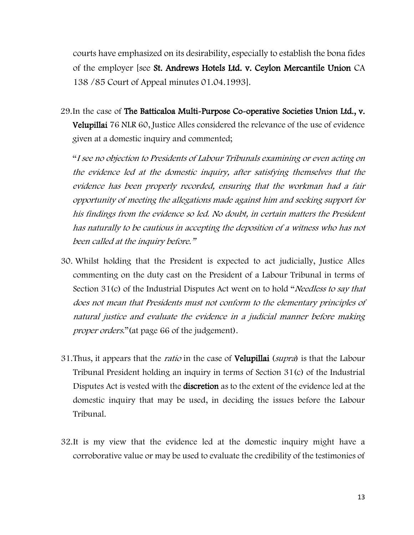courts have emphasized on its desirability, especially to establish the bona fides of the employer [see St. Andrews Hotels Ltd. v. Ceylon Mercantile Union CA 138 /85 Court of Appeal minutes 01.04.1993].

29.In the case of The Batticaloa Multi-Purpose Co-operative Societies Union Ltd., v. Velupillai 76 NLR 60, Justice Alles considered the relevance of the use of evidence given at a domestic inquiry and commented;

"I see no objection to Presidents of Labour Tribunals examining or even acting on the evidence led at the domestic inquiry, after satisfying themselves that the evidence has been properly recorded, ensuring that the workman had a fair opportunity of meeting the allegations made against him and seeking support for his findings from the evidence so led. No doubt, in certain matters the President has naturally to be cautious in accepting the deposition of a witness who has not been called at the inquiry before."

- 30. Whilst holding that the President is expected to act judicially, Justice Alles commenting on the duty cast on the President of a Labour Tribunal in terms of Section 31(c) of the Industrial Disputes Act went on to hold "*Needless to say that* does not mean that Presidents must not conform to the elementary principles of natural justice and evaluate the evidence in a judicial manner before making proper orders." (at page 66 of the judgement).
- 31. Thus, it appears that the *ratio* in the case of Velupillai (supra) is that the Labour Tribunal President holding an inquiry in terms of Section 31(c) of the Industrial Disputes Act is vested with the discretion as to the extent of the evidence led at the domestic inquiry that may be used, in deciding the issues before the Labour Tribunal.
- 32.It is my view that the evidence led at the domestic inquiry might have a corroborative value or may be used to evaluate the credibility of the testimonies of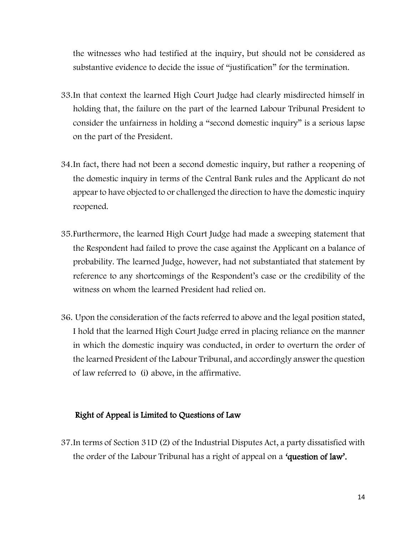the witnesses who had testified at the inquiry, but should not be considered as substantive evidence to decide the issue of "justification" for the termination.

- 33.In that context the learned High Court Judge had clearly misdirected himself in holding that, the failure on the part of the learned Labour Tribunal President to consider the unfairness in holding a "second domestic inquiry" is a serious lapse on the part of the President.
- 34.In fact, there had not been a second domestic inquiry, but rather a reopening of the domestic inquiry in terms of the Central Bank rules and the Applicant do not appear to have objected to or challenged the direction to have the domestic inquiry reopened.
- 35.Furthermore, the learned High Court Judge had made a sweeping statement that the Respondent had failed to prove the case against the Applicant on a balance of probability. The learned Judge, however, had not substantiated that statement by reference to any shortcomings of the Respondent's case or the credibility of the witness on whom the learned President had relied on.
- 36. Upon the consideration of the facts referred to above and the legal position stated, I hold that the learned High Court Judge erred in placing reliance on the manner in which the domestic inquiry was conducted, in order to overturn the order of the learned President of the Labour Tribunal, and accordingly answer the question of law referred to (i) above, in the affirmative.

#### Right of Appeal is Limited to Questions of Law

37.In terms of Section 31D (2) of the Industrial Disputes Act, a party dissatisfied with the order of the Labour Tribunal has a right of appeal on a 'question of law'.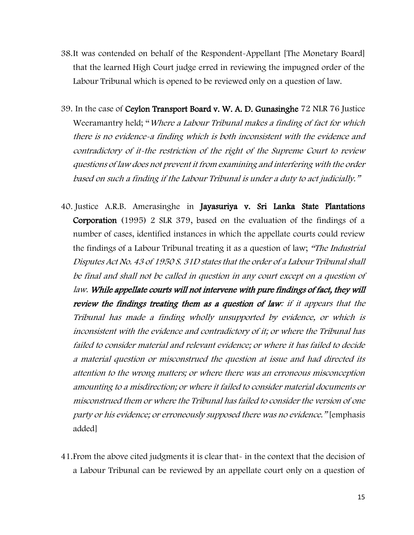- 38.It was contended on behalf of the Respondent-Appellant [The Monetary Board] that the learned High Court judge erred in reviewing the impugned order of the Labour Tribunal which is opened to be reviewed only on a question of law.
- 39. In the case of Ceylon Transport Board v. W. A. D. Gunasinghe 72 NLR 76 Justice Weeramantry held; "Where a Labour Tribunal makes a finding of fact for which there is no evidence-a finding which is both inconsistent with the evidence and contradictory of it-the restriction of the right of the Supreme Court to review questions of law does not prevent it from examining and interfering with the order based on such a finding if the Labour Tribunal is under a duty to act judicially."
- 40. Justice A.R.B. Amerasinghe in Jayasuriya v. Sri Lanka State Plantations Corporation (1995) 2 SLR 379, based on the evaluation of the findings of a number of cases, identified instances in which the appellate courts could review the findings of a Labour Tribunal treating it as a question of law; "The Industrial Disputes Act No. 43 of 1950 S. 31D states that the order of a Labour Tribunal shall be final and shall not be called in question in any court except on a question of law. While appellate courts will not intervene with pure findings of fact, they will review the findings treating them as a question of law: if it appears that the Tribunal has made a finding wholly unsupported by evidence, or which is inconsistent with the evidence and contradictory of it; or where the Tribunal has failed to consider material and relevant evidence; or where it has failed to decide a material question or misconstrued the question at issue and had directed its attention to the wrong matters; or where there was an erroneous misconception amounting to a misdirection; or where it failed to consider material documents or misconstrued them or where the Tribunal has failed to consider the version of one party or his evidence; or erroneously supposed there was no evidence." [emphasis added]
- 41.From the above cited judgments it is clear that- in the context that the decision of a Labour Tribunal can be reviewed by an appellate court only on a question of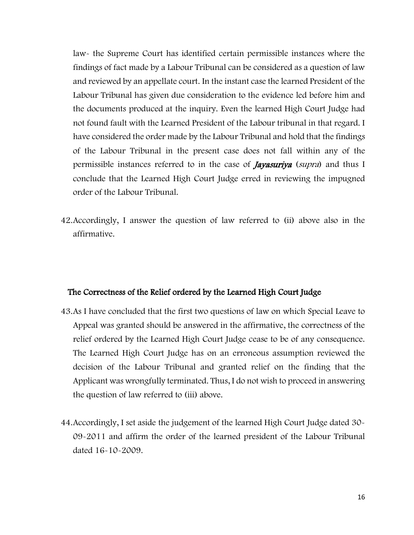law- the Supreme Court has identified certain permissible instances where the findings of fact made by a Labour Tribunal can be considered as a question of law and reviewed by an appellate court. In the instant case the learned President of the Labour Tribunal has given due consideration to the evidence led before him and the documents produced at the inquiry. Even the learned High Court Judge had not found fault with the Learned President of the Labour tribunal in that regard. I have considered the order made by the Labour Tribunal and hold that the findings of the Labour Tribunal in the present case does not fall within any of the permissible instances referred to in the case of *Jayasuriya* (supra) and thus I conclude that the Learned High Court Judge erred in reviewing the impugned order of the Labour Tribunal.

42.Accordingly, I answer the question of law referred to (ii) above also in the affirmative.

#### The Correctness of the Relief ordered by the Learned High Court Judge

- 43.As I have concluded that the first two questions of law on which Special Leave to Appeal was granted should be answered in the affirmative, the correctness of the relief ordered by the Learned High Court Judge cease to be of any consequence. The Learned High Court Judge has on an erroneous assumption reviewed the decision of the Labour Tribunal and granted relief on the finding that the Applicant was wrongfully terminated. Thus, I do not wish to proceed in answering the question of law referred to (iii) above.
- 44.Accordingly, I set aside the judgement of the learned High Court Judge dated 30- 09-2011 and affirm the order of the learned president of the Labour Tribunal dated 16-10-2009.